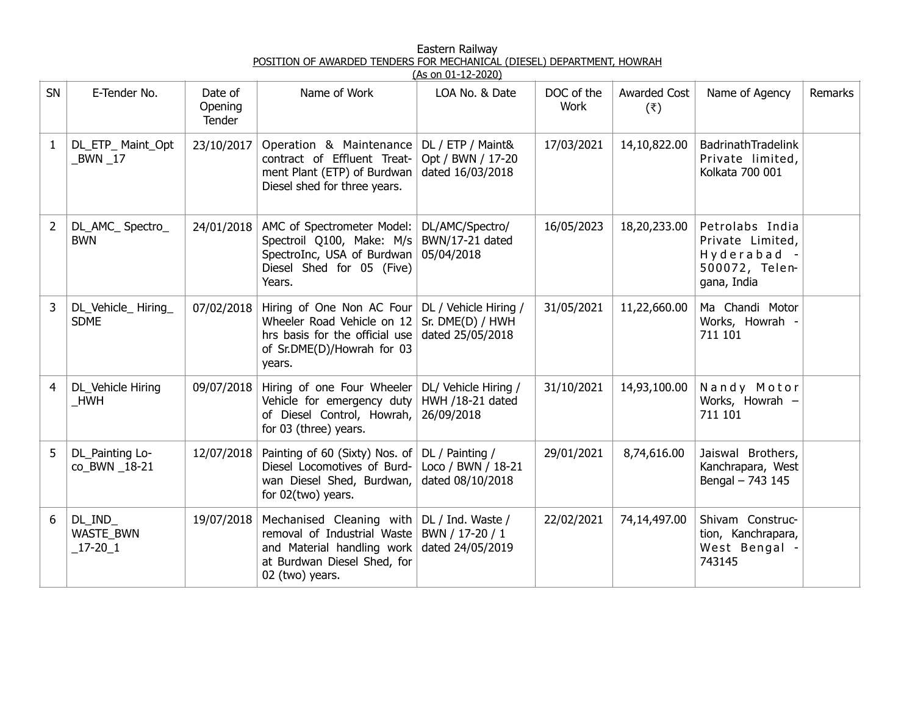| Eastern Railway                                                        |
|------------------------------------------------------------------------|
| POSITION OF AWARDED TENDERS FOR MECHANICAL (DIESEL) DEPARTMENT, HOWRAH |
| $(As \cap 01 - 12 - 2020)$                                             |

|              |                                               |                              |                                                                                                                                         | <u>נרוס שב-12 שנוט נרשן </u>                                  |                    |                                       |                                                                                     |         |
|--------------|-----------------------------------------------|------------------------------|-----------------------------------------------------------------------------------------------------------------------------------------|---------------------------------------------------------------|--------------------|---------------------------------------|-------------------------------------------------------------------------------------|---------|
| SN           | E-Tender No.                                  | Date of<br>Opening<br>Tender | Name of Work                                                                                                                            | LOA No. & Date                                                | DOC of the<br>Work | <b>Awarded Cost</b><br>$(\bar{\tau})$ | Name of Agency                                                                      | Remarks |
| $\mathbf{1}$ | DL_ETP_ Maint_Opt<br>$BWN$ <sub>-17</sub>     | 23/10/2017                   | Operation & Maintenance<br>contract of Effluent Treat-<br>ment Plant (ETP) of Burdwan<br>Diesel shed for three years.                   | DL / ETP / Maint&<br>Opt / BWN / 17-20<br>dated 16/03/2018    | 17/03/2021         | 14,10,822.00                          | BadrinathTradelink<br>Private limited,<br>Kolkata 700 001                           |         |
| 2            | DL_AMC_ Spectro_<br><b>BWN</b>                | 24/01/2018                   | AMC of Spectrometer Model:<br>Spectroil Q100, Make: M/s<br>SpectroInc, USA of Burdwan<br>Diesel Shed for 05 (Five)<br>Years.            | DL/AMC/Spectro/<br>BWN/17-21 dated<br>05/04/2018              | 16/05/2023         | 18,20,233.00                          | Petrolabs India<br>Private Limited,<br>Hyderabad -<br>500072, Telen-<br>gana, India |         |
| 3            | DL_Vehicle_Hiring_<br><b>SDME</b>             | 07/02/2018                   | Hiring of One Non AC Four<br>Wheeler Road Vehicle on 12<br>hrs basis for the official use<br>of Sr.DME(D)/Howrah for 03<br>years.       | DL / Vehicle Hiring /<br>Sr. DME(D) / HWH<br>dated 25/05/2018 | 31/05/2021         | 11,22,660.00                          | Ma Chandi Motor<br>Works, Howrah -<br>711 101                                       |         |
| 4            | DL_Vehicle Hiring<br>_HWH                     | 09/07/2018                   | Hiring of one Four Wheeler<br>Vehicle for emergency duty<br>of Diesel Control, Howrah,<br>for 03 (three) years.                         | DL/ Vehicle Hiring /<br>HWH /18-21 dated<br>26/09/2018        | 31/10/2021         | 14,93,100.00                          | Nandy Motor<br>Works, Howrah -<br>711 101                                           |         |
| 5            | DL_Painting Lo-<br>co BWN 18-21               | 12/07/2018                   | Painting of 60 (Sixty) Nos. of<br>Diesel Locomotives of Burd-<br>wan Diesel Shed, Burdwan,<br>for 02(two) years.                        | DL / Painting /<br>Loco / BWN / 18-21<br>dated 08/10/2018     | 29/01/2021         | 8,74,616.00                           | Jaiswal Brothers,<br>Kanchrapara, West<br>Bengal - 743 145                          |         |
| 6            | DL_IND_<br><b>WASTE BWN</b><br>$\_17 - 20\_1$ | 19/07/2018                   | Mechanised Cleaning with<br>removal of Industrial Waste<br>and Material handling work<br>at Burdwan Diesel Shed, for<br>02 (two) years. | DL / Ind. Waste /<br>BWN / 17-20 / 1<br>dated 24/05/2019      | 22/02/2021         | 74,14,497.00                          | Shivam Construc-<br>tion, Kanchrapara,<br>West Bengal -<br>743145                   |         |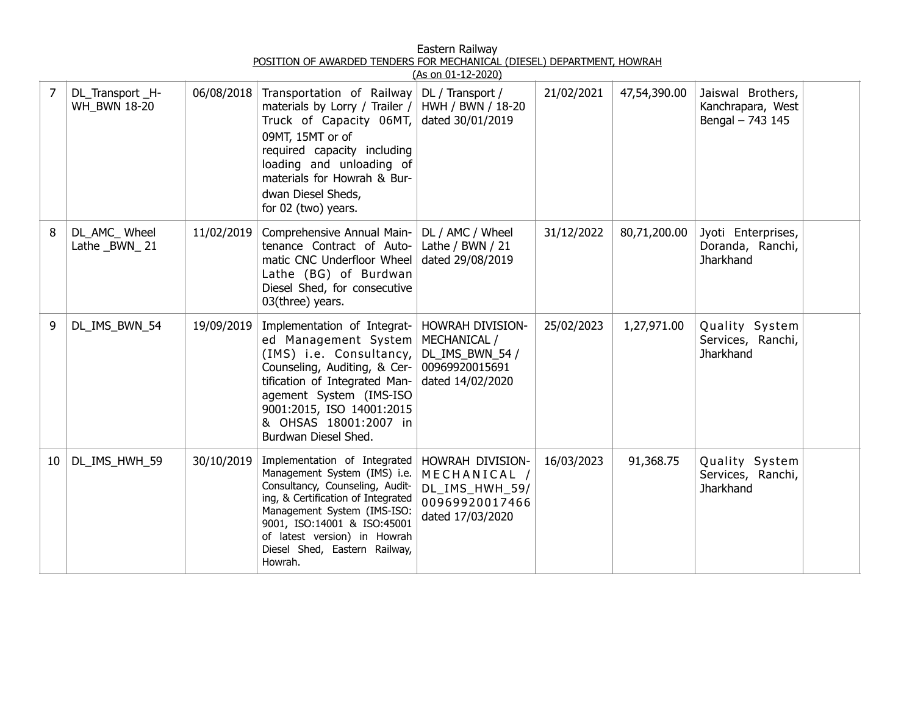| Eastern Railway                                                        |  |
|------------------------------------------------------------------------|--|
| POSITION OF AWARDED TENDERS FOR MECHANICAL (DIESEL) DEPARTMENT, HOWRAH |  |
| (10, 00, 01, 10, 200)                                                  |  |

|    |                                        |            |                                                                                                                                                                                                                                                                                 | <u>(As on 01-12-2020)</u>                                                                 |            |              |                                                            |  |
|----|----------------------------------------|------------|---------------------------------------------------------------------------------------------------------------------------------------------------------------------------------------------------------------------------------------------------------------------------------|-------------------------------------------------------------------------------------------|------------|--------------|------------------------------------------------------------|--|
| 7  | DL_Transport_H-<br><b>WH BWN 18-20</b> | 06/08/2018 | Transportation of Railway<br>materials by Lorry / Trailer /<br>Truck of Capacity 06MT,<br>09MT, 15MT or of<br>required capacity including<br>loading and unloading of<br>materials for Howrah & Bur-<br>dwan Diesel Sheds,<br>for 02 (two) years.                               | DL / Transport /<br>HWH / BWN / 18-20<br>dated 30/01/2019                                 | 21/02/2021 | 47,54,390.00 | Jaiswal Brothers,<br>Kanchrapara, West<br>Bengal - 743 145 |  |
| 8  | DL_AMC_Wheel<br>Lathe _BWN_21          | 11/02/2019 | Comprehensive Annual Main-<br>tenance Contract of Auto-<br>matic CNC Underfloor Wheel<br>Lathe (BG) of Burdwan<br>Diesel Shed, for consecutive<br>03(three) years.                                                                                                              | DL / AMC / Wheel<br>Lathe / BWN / 21<br>dated 29/08/2019                                  | 31/12/2022 | 80,71,200.00 | Jyoti Enterprises,<br>Doranda, Ranchi,<br>Jharkhand        |  |
| 9  | DL_IMS_BWN_54                          | 19/09/2019 | Implementation of Integrat-<br>ed Management System<br>(IMS) i.e. Consultancy,<br>Counseling, Auditing, & Cer-<br>tification of Integrated Man-<br>agement System (IMS-ISO<br>9001:2015, ISO 14001:2015<br>& OHSAS 18001:2007 in<br>Burdwan Diesel Shed.                        | HOWRAH DIVISION-<br>MECHANICAL /<br>DL_IMS_BWN_54 /<br>00969920015691<br>dated 14/02/2020 | 25/02/2023 | 1,27,971.00  | Quality System<br>Services, Ranchi,<br>Jharkhand           |  |
| 10 | DL_IMS_HWH_59                          | 30/10/2019 | Implementation of Integrated<br>Management System (IMS) i.e.<br>Consultancy, Counseling, Audit-<br>ing, & Certification of Integrated<br>Management System (IMS-ISO:<br>9001, ISO:14001 & ISO:45001<br>of latest version) in Howrah<br>Diesel Shed, Eastern Railway,<br>Howrah. | HOWRAH DIVISION-<br>MECHANICAL /<br>DL_IMS_HWH_59/<br>00969920017466<br>dated 17/03/2020  | 16/03/2023 | 91,368.75    | Quality System<br>Services, Ranchi,<br><b>Jharkhand</b>    |  |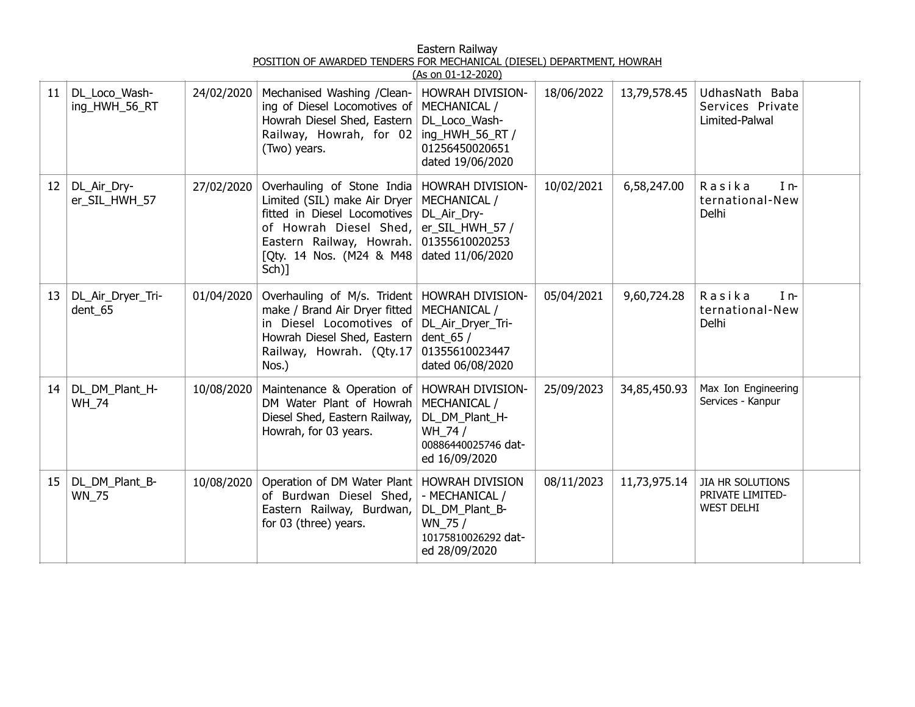|                 |                                |            |                                                                                                                                                                                       | (As on 01-12-2020)                                                                                                |            |              |                                                                  |  |
|-----------------|--------------------------------|------------|---------------------------------------------------------------------------------------------------------------------------------------------------------------------------------------|-------------------------------------------------------------------------------------------------------------------|------------|--------------|------------------------------------------------------------------|--|
| 11              | DL_Loco_Wash-<br>ing_HWH_56_RT | 24/02/2020 | Mechanised Washing /Clean-<br>ing of Diesel Locomotives of<br>Howrah Diesel Shed, Eastern<br>Railway, Howrah, for 02<br>(Two) years.                                                  | HOWRAH DIVISION-<br>MECHANICAL /<br>DL_Loco_Wash-<br>ing_HWH_56_RT /<br>01256450020651<br>dated 19/06/2020        | 18/06/2022 | 13,79,578.45 | UdhasNath Baba<br>Services Private<br>Limited-Palwal             |  |
| 12 <sup>2</sup> | DL_Air_Dry-<br>er_SIL_HWH_57   | 27/02/2020 | Overhauling of Stone India<br>Limited (SIL) make Air Dryer<br>fitted in Diesel Locomotives<br>of Howrah Diesel Shed,<br>Eastern Railway, Howrah.<br>[Qty. 14 Nos. (M24 & M48<br>Sch)] | HOWRAH DIVISION-<br>MECHANICAL /<br>DL_Air_Dry-<br>er_SIL_HWH_57 /<br>01355610020253<br>dated 11/06/2020          | 10/02/2021 | 6,58,247.00  | Rasika<br>$I_{n-}$<br>ternational-New<br>Delhi                   |  |
| 13              | DL_Air_Dryer_Tri-<br>dent_65   | 01/04/2020 | Overhauling of M/s. Trident<br>make / Brand Air Dryer fitted<br>in Diesel Locomotives of<br>Howrah Diesel Shed, Eastern<br>Railway, Howrah. (Qty.17<br>Nos.)                          | <b>HOWRAH DIVISION-</b><br>MECHANICAL /<br>DL_Air_Dryer_Tri-<br>dent_65 $/$<br>01355610023447<br>dated 06/08/2020 | 05/04/2021 | 9,60,724.28  | Rasika<br>$In-$<br>ternational-New<br>Delhi                      |  |
| 14              | DL_DM_Plant_H-<br><b>WH_74</b> | 10/08/2020 | Maintenance & Operation of<br>DM Water Plant of Howrah<br>Diesel Shed, Eastern Railway,<br>Howrah, for 03 years.                                                                      | HOWRAH DIVISION-<br>MECHANICAL /<br>DL_DM_Plant_H-<br>WH_74 /<br>00886440025746 dat-<br>ed 16/09/2020             | 25/09/2023 | 34,85,450.93 | Max Ion Engineering<br>Services - Kanpur                         |  |
| 15              | DL_DM_Plant_B-<br><b>WN_75</b> | 10/08/2020 | Operation of DM Water Plant<br>of Burdwan Diesel Shed,<br>Eastern Railway, Burdwan,<br>for 03 (three) years.                                                                          | <b>HOWRAH DIVISION</b><br>- MECHANICAL /<br>DL_DM_Plant_B-<br>WN_75 /<br>10175810026292 dat-<br>ed 28/09/2020     | 08/11/2023 | 11,73,975.14 | <b>JIA HR SOLUTIONS</b><br>PRIVATE LIMITED-<br><b>WEST DELHI</b> |  |

Eastern Railway POSITION OF AWARDED TENDERS FOR MECHANICAL (DIESEL) DEPARTMENT, HOWRAH